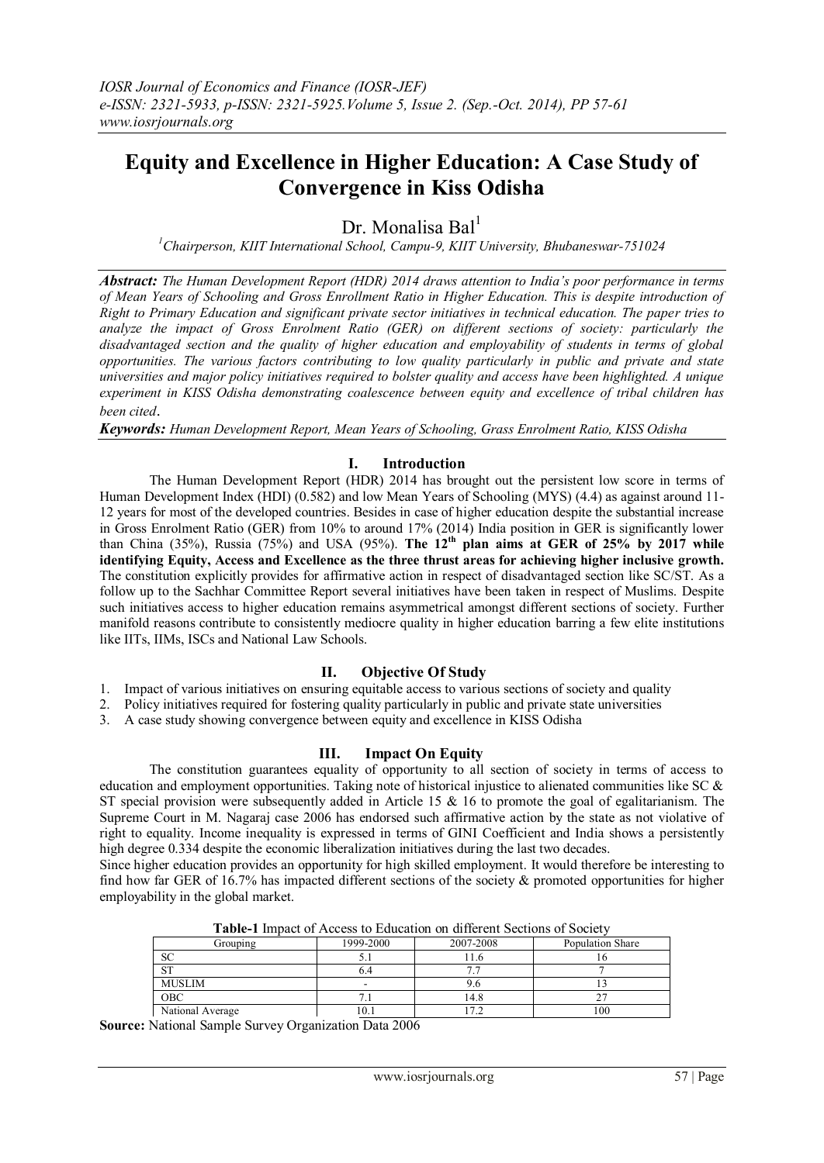# **Equity and Excellence in Higher Education: A Case Study of Convergence in Kiss Odisha**

Dr. Monalisa Bal $<sup>1</sup>$ </sup>

*<sup>1</sup>Chairperson, KIIT International School, Campu-9, KIIT University, Bhubaneswar-751024*

*Abstract: The Human Development Report (HDR) 2014 draws attention to India's poor performance in terms of Mean Years of Schooling and Gross Enrollment Ratio in Higher Education. This is despite introduction of Right to Primary Education and significant private sector initiatives in technical education. The paper tries to analyze the impact of Gross Enrolment Ratio (GER) on different sections of society: particularly the disadvantaged section and the quality of higher education and employability of students in terms of global opportunities. The various factors contributing to low quality particularly in public and private and state universities and major policy initiatives required to bolster quality and access have been highlighted. A unique experiment in KISS Odisha demonstrating coalescence between equity and excellence of tribal children has been cited*.

*Keywords: Human Development Report, Mean Years of Schooling, Grass Enrolment Ratio, KISS Odisha*

## **I. Introduction**

The Human Development Report (HDR) 2014 has brought out the persistent low score in terms of Human Development Index (HDI) (0.582) and low Mean Years of Schooling (MYS) (4.4) as against around 11- 12 years for most of the developed countries. Besides in case of higher education despite the substantial increase in Gross Enrolment Ratio (GER) from 10% to around 17% (2014) India position in GER is significantly lower than China (35%), Russia (75%) and USA (95%). **The 12th plan aims at GER of 25% by 2017 while identifying Equity, Access and Excellence as the three thrust areas for achieving higher inclusive growth.** The constitution explicitly provides for affirmative action in respect of disadvantaged section like SC/ST. As a follow up to the Sachhar Committee Report several initiatives have been taken in respect of Muslims. Despite such initiatives access to higher education remains asymmetrical amongst different sections of society. Further manifold reasons contribute to consistently mediocre quality in higher education barring a few elite institutions like IITs, IIMs, ISCs and National Law Schools.

#### **II. Objective Of Study**

- 1. Impact of various initiatives on ensuring equitable access to various sections of society and quality
- 2. Policy initiatives required for fostering quality particularly in public and private state universities
- 3. A case study showing convergence between equity and excellence in KISS Odisha

## **III. Impact On Equity**

The constitution guarantees equality of opportunity to all section of society in terms of access to education and employment opportunities. Taking note of historical injustice to alienated communities like SC & ST special provision were subsequently added in Article 15 & 16 to promote the goal of egalitarianism. The Supreme Court in M. Nagaraj case 2006 has endorsed such affirmative action by the state as not violative of right to equality. Income inequality is expressed in terms of GINI Coefficient and India shows a persistently high degree 0.334 despite the economic liberalization initiatives during the last two decades.

Since higher education provides an opportunity for high skilled employment. It would therefore be interesting to find how far GER of 16.7% has impacted different sections of the society & promoted opportunities for higher employability in the global market.

| Grouping         | 1999-2000 | 2007-2008 | Population Share |
|------------------|-----------|-----------|------------------|
| SC               |           |           |                  |
| $\alpha$ T       |           |           |                  |
| <b>MUSLIM</b>    | -         | 9.6       |                  |
| OBC              |           | l 4.8     |                  |
| National Average | 10.1      |           | $_{00}$          |

**Table-1** Impact of Access to Education on different Sections of Society

**Source:** National Sample Survey Organization Data 2006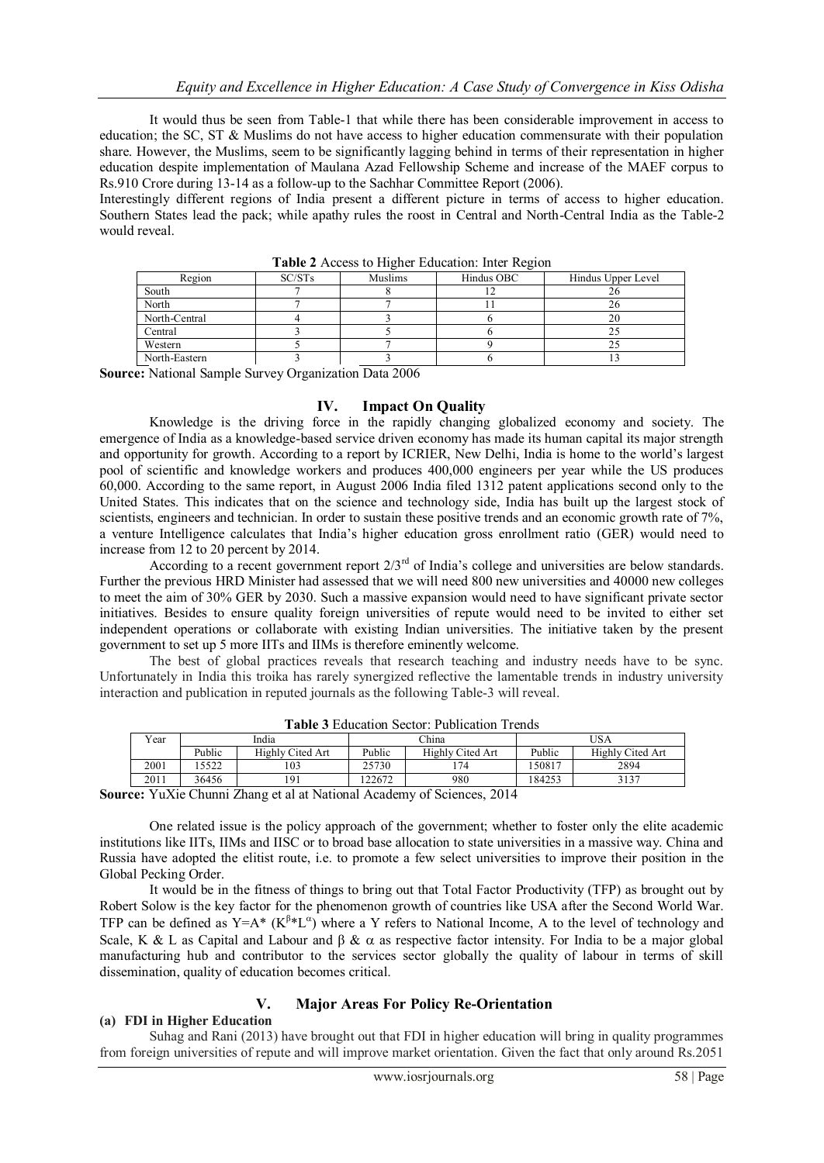It would thus be seen from Table-1 that while there has been considerable improvement in access to education; the SC, ST & Muslims do not have access to higher education commensurate with their population share. However, the Muslims, seem to be significantly lagging behind in terms of their representation in higher education despite implementation of Maulana Azad Fellowship Scheme and increase of the MAEF corpus to Rs.910 Crore during 13-14 as a follow-up to the Sachhar Committee Report (2006).

Interestingly different regions of India present a different picture in terms of access to higher education. Southern States lead the pack; while apathy rules the roost in Central and North-Central India as the Table-2 would reveal.

| <b>TADIC 2</b> TWOOD to THEIN EQUORITOR. HINT INCLUDE |        |         |            |                    |  |  |
|-------------------------------------------------------|--------|---------|------------|--------------------|--|--|
| Region                                                | SC/STs | Muslims | Hindus OBC | Hindus Upper Level |  |  |
| South                                                 |        |         |            |                    |  |  |
| North                                                 |        |         |            |                    |  |  |
| North-Central                                         |        |         |            |                    |  |  |
| Central                                               |        |         |            |                    |  |  |
| Western                                               |        |         |            |                    |  |  |
| North-Eastern                                         |        |         |            |                    |  |  |

**Table 2** Access to Higher Education: Inter Region

**Source:** National Sample Survey Organization Data 2006

#### **IV. Impact On Quality**

Knowledge is the driving force in the rapidly changing globalized economy and society. The emergence of India as a knowledge-based service driven economy has made its human capital its major strength and opportunity for growth. According to a report by ICRIER, New Delhi, India is home to the world"s largest pool of scientific and knowledge workers and produces 400,000 engineers per year while the US produces 60,000. According to the same report, in August 2006 India filed 1312 patent applications second only to the United States. This indicates that on the science and technology side, India has built up the largest stock of scientists, engineers and technician. In order to sustain these positive trends and an economic growth rate of 7%, a venture Intelligence calculates that India"s higher education gross enrollment ratio (GER) would need to increase from 12 to 20 percent by 2014.

According to a recent government report  $2/3^{rd}$  of India's college and universities are below standards. Further the previous HRD Minister had assessed that we will need 800 new universities and 40000 new colleges to meet the aim of 30% GER by 2030. Such a massive expansion would need to have significant private sector initiatives. Besides to ensure quality foreign universities of repute would need to be invited to either set independent operations or collaborate with existing Indian universities. The initiative taken by the present government to set up 5 more IITs and IIMs is therefore eminently welcome.

The best of global practices reveals that research teaching and industry needs have to be sync. Unfortunately in India this troika has rarely synergized reflective the lamentable trends in industry university interaction and publication in reputed journals as the following Table-3 will reveal.

| Tabit o Ludeanon Deciol. I doncation Trends                                                                                                                                                                                                                                                                            |        |                  |        |                  |        |                  |
|------------------------------------------------------------------------------------------------------------------------------------------------------------------------------------------------------------------------------------------------------------------------------------------------------------------------|--------|------------------|--------|------------------|--------|------------------|
| Year                                                                                                                                                                                                                                                                                                                   | India  |                  | China  |                  | JSA    |                  |
|                                                                                                                                                                                                                                                                                                                        | Public | Highly Cited Art | Public | Highly Cited Art | Public | Highly Cited Art |
| 2001                                                                                                                                                                                                                                                                                                                   | 5522   | 103              | 25730  | 74               | 150817 | 2894             |
| 2011                                                                                                                                                                                                                                                                                                                   | 36456  |                  | 22672  | 980              | 184253 | 3137             |
| $\mathbf{V}$ $\mathbf{V}'$ and $\mathbf{V}'$ and $\mathbf{V}'$ and $\mathbf{V}'$ and $\mathbf{V}'$ and $\mathbf{V}'$ and $\mathbf{V}'$ and $\mathbf{V}'$ and $\mathbf{V}'$ and $\mathbf{V}'$ and $\mathbf{V}'$ and $\mathbf{V}'$ and $\mathbf{V}'$ and $\mathbf{V}'$ and $\mathbf{V}'$ and $\mathbf{V}'$ and $\mathbf$ |        |                  |        |                  |        |                  |

**Table 3** Education Sector: Publication Trends

**Source:** YuXie Chunni Zhang et al at National Academy of Sciences, 2014

One related issue is the policy approach of the government; whether to foster only the elite academic institutions like IITs, IIMs and IISC or to broad base allocation to state universities in a massive way. China and Russia have adopted the elitist route, i.e. to promote a few select universities to improve their position in the Global Pecking Order.

It would be in the fitness of things to bring out that Total Factor Productivity (TFP) as brought out by Robert Solow is the key factor for the phenomenon growth of countries like USA after the Second World War. TFP can be defined as  $Y = A^* (K^{\beta*} L^{\alpha})$  where a Y refers to National Income, A to the level of technology and Scale, K & L as Capital and Labour and  $\beta \& \alpha$  as respective factor intensity. For India to be a major global manufacturing hub and contributor to the services sector globally the quality of labour in terms of skill dissemination, quality of education becomes critical.

## **V. Major Areas For Policy Re-Orientation**

## **(a) FDI in Higher Education**

Suhag and Rani (2013) have brought out that FDI in higher education will bring in quality programmes from foreign universities of repute and will improve market orientation. Given the fact that only around Rs.2051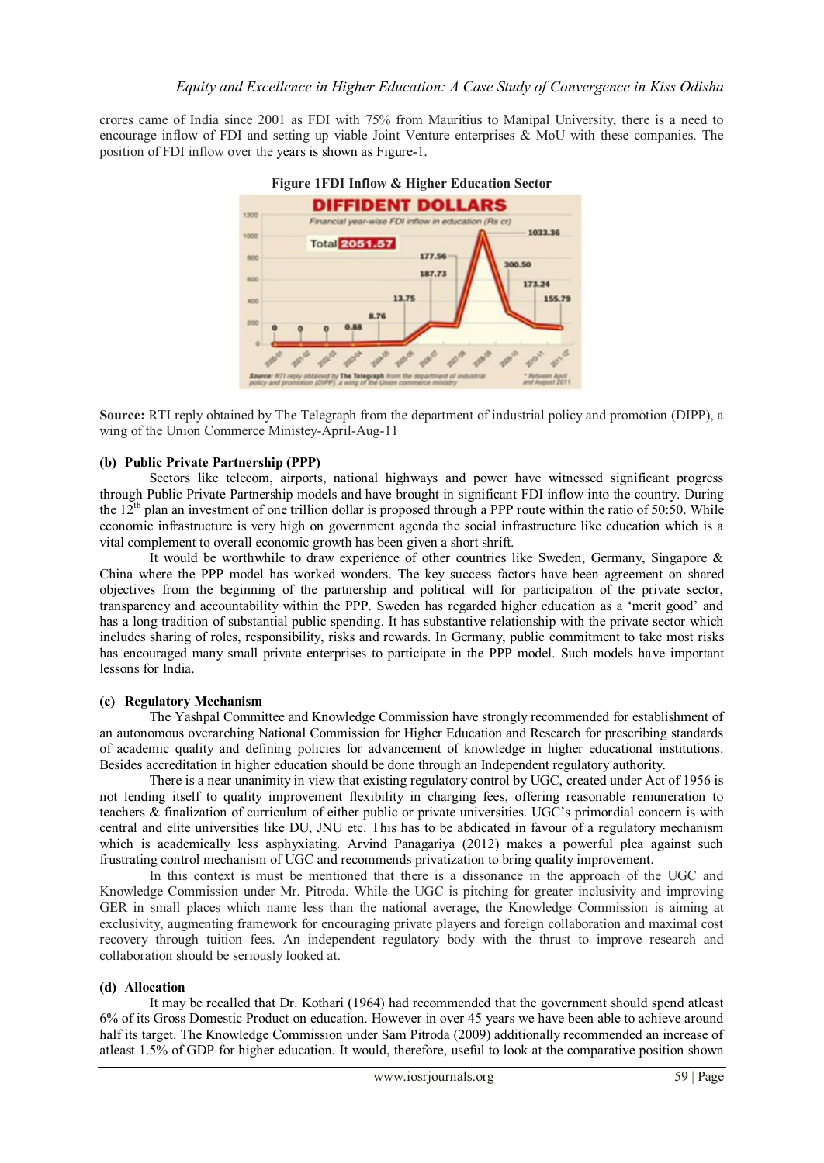crores came of India since 2001 as FDI with 75% from Mauritius to Manipal University, there is a need to encourage inflow of FDI and setting up viable Joint Venture enterprises & MoU with these companies. The position of FDI inflow over the years is shown as Figure-1.





**Source:** RTI reply obtained by The Telegraph from the department of industrial policy and promotion (DIPP), a wing of the Union Commerce Ministey-April-Aug-11

#### **(b) Public Private Partnership (PPP)**

Sectors like telecom, airports, national highways and power have witnessed significant progress through Public Private Partnership models and have brought in significant FDI inflow into the country. During the  $12<sup>th</sup>$  plan an investment of one trillion dollar is proposed through a PPP route within the ratio of 50:50. While economic infrastructure is very high on government agenda the social infrastructure like education which is a vital complement to overall economic growth has been given a short shrift.

It would be worthwhile to draw experience of other countries like Sweden, Germany, Singapore & China where the PPP model has worked wonders. The key success factors have been agreement on shared objectives from the beginning of the partnership and political will for participation of the private sector, transparency and accountability within the PPP. Sweden has regarded higher education as a "merit good" and has a long tradition of substantial public spending. It has substantive relationship with the private sector which includes sharing of roles, responsibility, risks and rewards. In Germany, public commitment to take most risks has encouraged many small private enterprises to participate in the PPP model. Such models have important lessons for India.

#### **(c) Regulatory Mechanism**

The Yashpal Committee and Knowledge Commission have strongly recommended for establishment of an autonomous overarching National Commission for Higher Education and Research for prescribing standards of academic quality and defining policies for advancement of knowledge in higher educational institutions. Besides accreditation in higher education should be done through an Independent regulatory authority.

There is a near unanimity in view that existing regulatory control by UGC, created under Act of 1956 is not lending itself to quality improvement flexibility in charging fees, offering reasonable remuneration to teachers & finalization of curriculum of either public or private universities. UGC"s primordial concern is with central and elite universities like DU, JNU etc. This has to be abdicated in favour of a regulatory mechanism which is academically less asphyxiating. Arvind Panagariya (2012) makes a powerful plea against such frustrating control mechanism of UGC and recommends privatization to bring quality improvement.

In this context is must be mentioned that there is a dissonance in the approach of the UGC and Knowledge Commission under Mr. Pitroda. While the UGC is pitching for greater inclusivity and improving GER in small places which name less than the national average, the Knowledge Commission is aiming at exclusivity, augmenting framework for encouraging private players and foreign collaboration and maximal cost recovery through tuition fees. An independent regulatory body with the thrust to improve research and collaboration should be seriously looked at.

#### **(d) Allocation**

It may be recalled that Dr. Kothari (1964) had recommended that the government should spend atleast 6% of its Gross Domestic Product on education. However in over 45 years we have been able to achieve around half its target. The Knowledge Commission under Sam Pitroda (2009) additionally recommended an increase of atleast 1.5% of GDP for higher education. It would, therefore, useful to look at the comparative position shown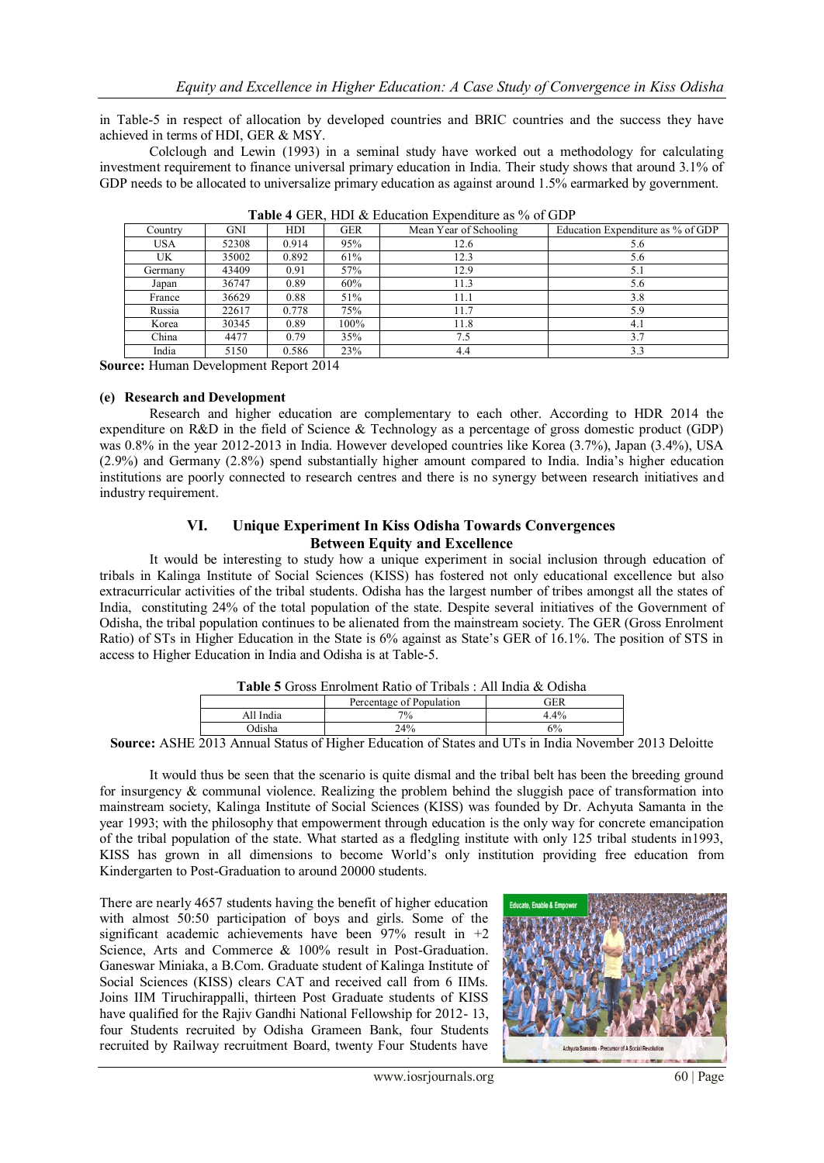in Table-5 in respect of allocation by developed countries and BRIC countries and the success they have achieved in terms of HDI, GER & MSY.

Colclough and Lewin (1993) in a seminal study have worked out a methodology for calculating investment requirement to finance universal primary education in India. Their study shows that around 3.1% of GDP needs to be allocated to universalize primary education as against around 1.5% earmarked by government.

| <b>Table + OLIX, TIDT &amp; Ludeation Lapenditure as 70 OF ODT</b> |            |       |            |                        |                                   |
|--------------------------------------------------------------------|------------|-------|------------|------------------------|-----------------------------------|
| Country                                                            | <b>GNI</b> | HDI   | <b>GER</b> | Mean Year of Schooling | Education Expenditure as % of GDP |
| <b>USA</b>                                                         | 52308      | 0.914 | 95%        | 12.6                   | 5.6                               |
| UK.                                                                | 35002      | 0.892 | 61%        | 12.3                   | 5.6                               |
| Germany                                                            | 43409      | 0.91  | 57%        | 12.9                   | 5.1                               |
| Japan                                                              | 36747      | 0.89  | 60%        | 11.3                   | 5.6                               |
| France                                                             | 36629      | 0.88  | 51%        | 11.1                   | 3.8                               |
| Russia                                                             | 22617      | 0.778 | 75%        | 11.7                   | 5.9                               |
| Korea                                                              | 30345      | 0.89  | 100%       | 11.8                   | 4.1                               |
| China                                                              | 4477       | 0.79  | 35%        | 7.5                    | 3.7                               |
| India                                                              | 5150       | 0.586 | 23%        | 4.4                    | 3.3                               |

**Table 4** GER, HDI & Education Expenditure as % of GDP

**Source:** Human Development Report 2014

#### **(e) Research and Development**

Research and higher education are complementary to each other. According to HDR 2014 the expenditure on R&D in the field of Science & Technology as a percentage of gross domestic product (GDP) was 0.8% in the year 2012-2013 in India. However developed countries like Korea (3.7%), Japan (3.4%), USA (2.9%) and Germany (2.8%) spend substantially higher amount compared to India. India"s higher education institutions are poorly connected to research centres and there is no synergy between research initiatives and industry requirement.

### **VI. Unique Experiment In Kiss Odisha Towards Convergences Between Equity and Excellence**

It would be interesting to study how a unique experiment in social inclusion through education of tribals in Kalinga Institute of Social Sciences (KISS) has fostered not only educational excellence but also extracurricular activities of the tribal students. Odisha has the largest number of tribes amongst all the states of India, constituting 24% of the total population of the state. Despite several initiatives of the Government of Odisha, the tribal population continues to be alienated from the mainstream society. The GER (Gross Enrolment Ratio) of STs in Higher Education in the State is 6% against as State"s GER of 16.1%. The position of STS in access to Higher Education in India and Odisha is at Table-5.

| <b>Table 5</b> Gross Enrolment Ratio of Tribals : All India & Odisha |                          |         |  |  |
|----------------------------------------------------------------------|--------------------------|---------|--|--|
|                                                                      | Percentage of Population | GER     |  |  |
| All India                                                            | $7\%$                    | $4.4\%$ |  |  |
| Odisha                                                               | 24%                      | 6%      |  |  |

**Source:** ASHE 2013 Annual Status of Higher Education of States and UTs in India November 2013 Deloitte

It would thus be seen that the scenario is quite dismal and the tribal belt has been the breeding ground for insurgency & communal violence. Realizing the problem behind the sluggish pace of transformation into mainstream society, Kalinga Institute of Social Sciences (KISS) was founded by Dr. Achyuta Samanta in the year 1993; with the philosophy that empowerment through education is the only way for concrete emancipation of the tribal population of the state. What started as a fledgling institute with only 125 tribal students in1993, KISS has grown in all dimensions to become World"s only institution providing free education from Kindergarten to Post-Graduation to around 20000 students.

There are nearly 4657 students having the benefit of higher education with almost 50:50 participation of boys and girls. Some of the significant academic achievements have been  $97%$  result in  $+2$ Science, Arts and Commerce & 100% result in Post-Graduation. Ganeswar Miniaka, a B.Com. Graduate student of Kalinga Institute of Social Sciences (KISS) clears CAT and received call from 6 IIMs. Joins IIM Tiruchirappalli, thirteen Post Graduate students of KISS have qualified for the Rajiv Gandhi National Fellowship for 2012- 13, four Students recruited by Odisha Grameen Bank, four Students recruited by Railway recruitment Board, twenty Four Students have